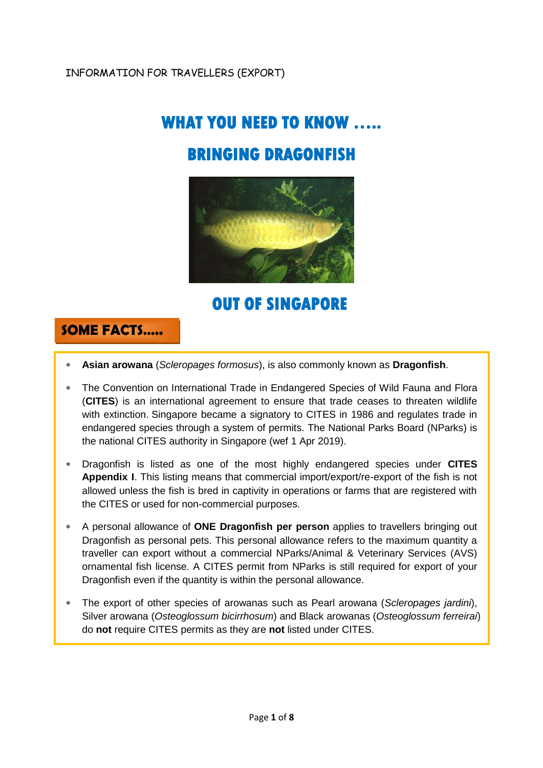# **WHAT YOU NEED TO KNOW ….. BRINGING DRAGONFISH**



**OUT OF SINGAPORE** 

## **SOME FACTS…..**

- **Asian arowana** (*Scleropages formosus*), is also commonly known as **Dragonfish**.
- The Convention on International Trade in Endangered Species of Wild Fauna and Flora (**CITES**) is an international agreement to ensure that trade ceases to threaten wildlife with extinction. Singapore became a signatory to CITES in 1986 and regulates trade in endangered species through a system of permits. The National Parks Board (NParks) is the national CITES authority in Singapore (wef 1 Apr 2019).
- Dragonfish is listed as one of the most highly endangered species under **CITES Appendix I**. This listing means that commercial import/export/re-export of the fish is not allowed unless the fish is bred in captivity in operations or farms that are registered with the CITES or used for non-commercial purposes.
- A personal allowance of **ONE Dragonfish per person** applies to travellers bringing out Dragonfish as personal pets. This personal allowance refers to the maximum quantity a traveller can export without a commercial NParks/Animal & Veterinary Services (AVS) ornamental fish license. A CITES permit from NParks is still required for export of your Dragonfish even if the quantity is within the personal allowance.
- The export of other species of arowanas such as Pearl arowana (*Scleropages jardini*), Silver arowana (*Osteoglossum bicirrhosum*) and Black arowanas (*Osteoglossum ferreirai*) do **not** require CITES permits as they are **not** listed under CITES.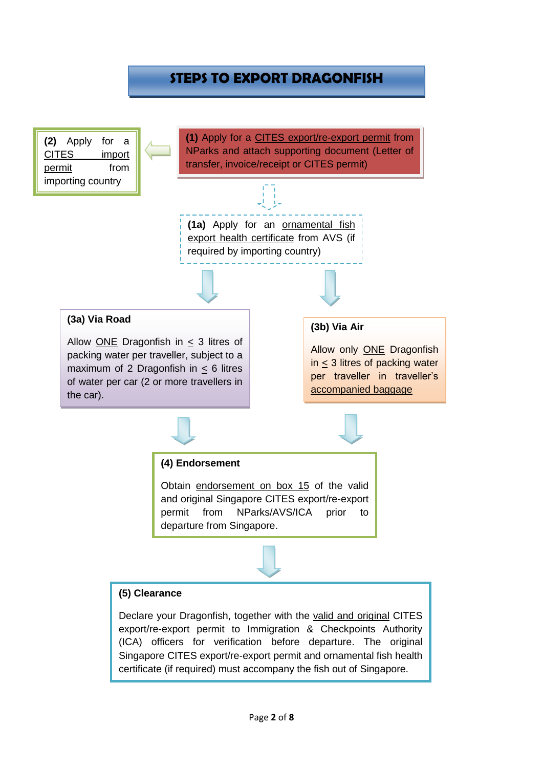## **STEPS TO EXPORT DRAGONFISH**

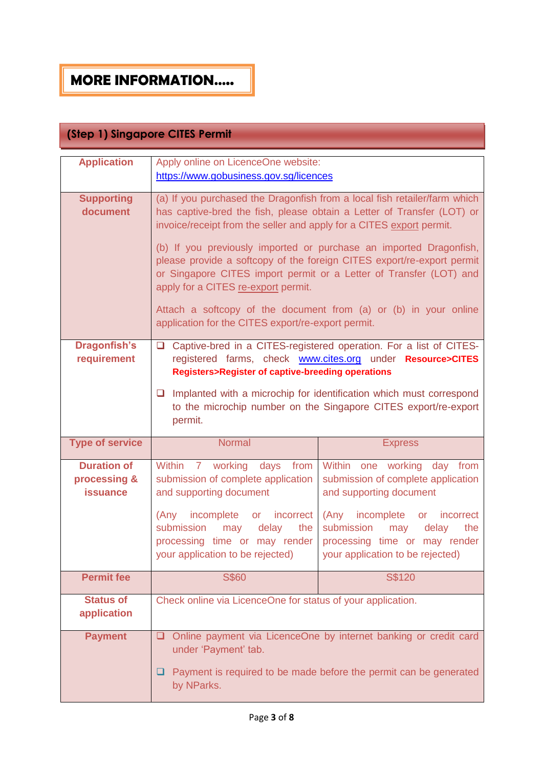## **MORE INFORMATION…..**

## **(Step 1) Singapore CITES Permit**

| <b>Application</b>                                    | Apply online on LicenceOne website:                                                                                                                                                                                                                                                                                                                                                                                                                                                                                                                                                                                |                                                                                                 |
|-------------------------------------------------------|--------------------------------------------------------------------------------------------------------------------------------------------------------------------------------------------------------------------------------------------------------------------------------------------------------------------------------------------------------------------------------------------------------------------------------------------------------------------------------------------------------------------------------------------------------------------------------------------------------------------|-------------------------------------------------------------------------------------------------|
|                                                       | https://www.gobusiness.gov.sg/licences                                                                                                                                                                                                                                                                                                                                                                                                                                                                                                                                                                             |                                                                                                 |
|                                                       |                                                                                                                                                                                                                                                                                                                                                                                                                                                                                                                                                                                                                    |                                                                                                 |
| <b>Supporting</b><br>document                         | (a) If you purchased the Dragonfish from a local fish retailer/farm which<br>has captive-bred the fish, please obtain a Letter of Transfer (LOT) or<br>invoice/receipt from the seller and apply for a CITES export permit.<br>(b) If you previously imported or purchase an imported Dragonfish,<br>please provide a softcopy of the foreign CITES export/re-export permit<br>or Singapore CITES import permit or a Letter of Transfer (LOT) and<br>apply for a CITES re-export permit.<br>Attach a softcopy of the document from (a) or (b) in your online<br>application for the CITES export/re-export permit. |                                                                                                 |
| <b>Dragonfish's</b>                                   | ❏                                                                                                                                                                                                                                                                                                                                                                                                                                                                                                                                                                                                                  | Captive-bred in a CITES-registered operation. For a list of CITES-                              |
| requirement                                           |                                                                                                                                                                                                                                                                                                                                                                                                                                                                                                                                                                                                                    | registered farms, check <b>www.cites.org</b> under Resource>CITES                               |
|                                                       | <b>Registers&gt;Register of captive-breeding operations</b>                                                                                                                                                                                                                                                                                                                                                                                                                                                                                                                                                        |                                                                                                 |
|                                                       | Implanted with a microchip for identification which must correspond<br>u.<br>to the microchip number on the Singapore CITES export/re-export<br>permit.                                                                                                                                                                                                                                                                                                                                                                                                                                                            |                                                                                                 |
|                                                       |                                                                                                                                                                                                                                                                                                                                                                                                                                                                                                                                                                                                                    |                                                                                                 |
| <b>Type of service</b>                                | <b>Normal</b>                                                                                                                                                                                                                                                                                                                                                                                                                                                                                                                                                                                                      | <b>Express</b>                                                                                  |
| <b>Duration of</b><br>processing &<br><b>issuance</b> | Within 7 working days<br>from<br>submission of complete application<br>and supporting document                                                                                                                                                                                                                                                                                                                                                                                                                                                                                                                     | Within one working<br>day from<br>submission of complete application<br>and supporting document |
|                                                       | (Any<br>incomplete<br>incorrect<br>or                                                                                                                                                                                                                                                                                                                                                                                                                                                                                                                                                                              | (Any incomplete<br>incorrect<br><b>or</b>                                                       |
|                                                       | submission<br>delay<br>the<br>may                                                                                                                                                                                                                                                                                                                                                                                                                                                                                                                                                                                  | submission<br>delay<br>the<br>may                                                               |
|                                                       | processing time or may render                                                                                                                                                                                                                                                                                                                                                                                                                                                                                                                                                                                      | processing time or may render                                                                   |
|                                                       | your application to be rejected)                                                                                                                                                                                                                                                                                                                                                                                                                                                                                                                                                                                   | your application to be rejected)                                                                |
| <b>Permit fee</b>                                     | <b>S\$60</b>                                                                                                                                                                                                                                                                                                                                                                                                                                                                                                                                                                                                       | S\$120                                                                                          |
| <b>Status of</b><br>application                       | Check online via LicenceOne for status of your application.                                                                                                                                                                                                                                                                                                                                                                                                                                                                                                                                                        |                                                                                                 |
| <b>Payment</b>                                        | ❏<br>under 'Payment' tab.                                                                                                                                                                                                                                                                                                                                                                                                                                                                                                                                                                                          | Online payment via LicenceOne by internet banking or credit card                                |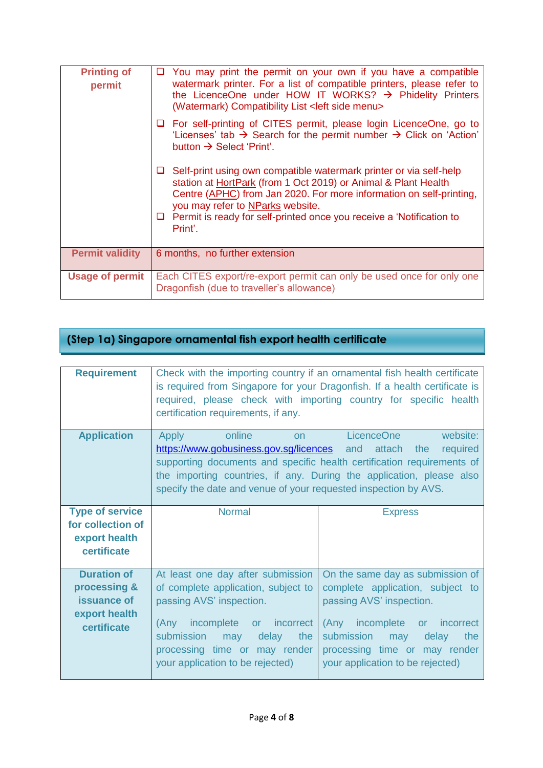| <b>Printing of</b><br>permit | $\Box$ You may print the permit on your own if you have a compatible<br>watermark printer. For a list of compatible printers, please refer to<br>the LicenceOne under HOW IT WORKS? $\rightarrow$ Phidelity Printers<br>(Watermark) Compatibility List < left side menu>                                                                         |
|------------------------------|--------------------------------------------------------------------------------------------------------------------------------------------------------------------------------------------------------------------------------------------------------------------------------------------------------------------------------------------------|
|                              | □ For self-printing of CITES permit, please login LicenceOne, go to<br>'Licenses' tab $\rightarrow$ Search for the permit number $\rightarrow$ Click on 'Action'<br>button $\rightarrow$ Select 'Print'.                                                                                                                                         |
|                              | $\Box$ Self-print using own compatible watermark printer or via self-help<br>station at HortPark (from 1 Oct 2019) or Animal & Plant Health<br>Centre (APHC) from Jan 2020. For more information on self-printing,<br>you may refer to NParks website.<br>$\Box$ Permit is ready for self-printed once you receive a 'Notification to<br>Print'. |
| <b>Permit validity</b>       | 6 months, no further extension                                                                                                                                                                                                                                                                                                                   |
| <b>Usage of permit</b>       | Each CITES export/re-export permit can only be used once for only one<br>Dragonfish (due to traveller's allowance)                                                                                                                                                                                                                               |

## **(Step 1a) Singapore ornamental fish export health certificate**

| <b>Requirement</b>                                                                | certification requirements, if any.                                                                                                                                                                                                               | Check with the importing country if an ornamental fish health certificate<br>is required from Singapore for your Dragonfish. If a health certificate is<br>required, please check with importing country for specific health                  |
|-----------------------------------------------------------------------------------|---------------------------------------------------------------------------------------------------------------------------------------------------------------------------------------------------------------------------------------------------|-----------------------------------------------------------------------------------------------------------------------------------------------------------------------------------------------------------------------------------------------|
| <b>Application</b>                                                                | online<br>Apply<br>on.<br>https://www.gobusiness.gov.sg/licences and attach<br>specify the date and venue of your requested inspection by AVS.                                                                                                    | LicenceOne<br>website:<br>required<br>the<br>supporting documents and specific health certification requirements of<br>the importing countries, if any. During the application, please also                                                   |
| <b>Type of service</b><br>for collection of<br>export health<br>certificate       | <b>Normal</b>                                                                                                                                                                                                                                     | <b>Express</b>                                                                                                                                                                                                                                |
| <b>Duration of</b><br>processing &<br>issuance of<br>export health<br>certificate | At least one day after submission<br>of complete application, subject to<br>passing AVS' inspection.<br>(Any incomplete<br>or incorrect<br>submission<br>delay<br>the<br>may<br>processing time or may render<br>your application to be rejected) | On the same day as submission of<br>complete application, subject to<br>passing AVS' inspection.<br>(Any incomplete<br>or incorrect<br>submission<br>delay<br>the<br>may<br>processing time or may render<br>your application to be rejected) |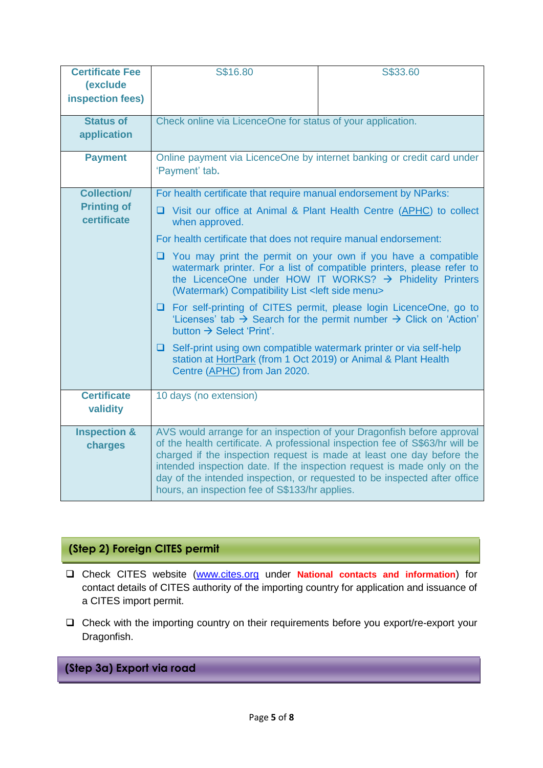| <b>Certificate Fee</b><br><i>(exclude)</i><br>inspection fees) | S\$16.80                                                                                                                                                                                                                                                                 | S\$33.60                                                                                                                                                                                                                                                                                                                                                                                |
|----------------------------------------------------------------|--------------------------------------------------------------------------------------------------------------------------------------------------------------------------------------------------------------------------------------------------------------------------|-----------------------------------------------------------------------------------------------------------------------------------------------------------------------------------------------------------------------------------------------------------------------------------------------------------------------------------------------------------------------------------------|
| <b>Status of</b><br>application                                | Check online via LicenceOne for status of your application.                                                                                                                                                                                                              |                                                                                                                                                                                                                                                                                                                                                                                         |
| <b>Payment</b>                                                 | Online payment via LicenceOne by internet banking or credit card under<br>'Payment' tab.                                                                                                                                                                                 |                                                                                                                                                                                                                                                                                                                                                                                         |
| <b>Collection/</b>                                             | For health certificate that require manual endorsement by NParks:                                                                                                                                                                                                        |                                                                                                                                                                                                                                                                                                                                                                                         |
| <b>Printing of</b><br>certificate                              | Visit our office at Animal & Plant Health Centre (APHC) to collect<br>when approved.                                                                                                                                                                                     |                                                                                                                                                                                                                                                                                                                                                                                         |
|                                                                | For health certificate that does not require manual endorsement:                                                                                                                                                                                                         |                                                                                                                                                                                                                                                                                                                                                                                         |
|                                                                | $\Box$ You may print the permit on your own if you have a compatible<br>watermark printer. For a list of compatible printers, please refer to<br>the LicenceOne under HOW IT WORKS? $\rightarrow$ Phidelity Printers<br>(Watermark) Compatibility List < left side menu> |                                                                                                                                                                                                                                                                                                                                                                                         |
|                                                                | button $\rightarrow$ Select 'Print'.                                                                                                                                                                                                                                     | □ For self-printing of CITES permit, please login LicenceOne, go to<br>'Licenses' tab $\rightarrow$ Search for the permit number $\rightarrow$ Click on 'Action'                                                                                                                                                                                                                        |
|                                                                | Self-print using own compatible watermark printer or via self-help<br>□.<br>station at HortPark (from 1 Oct 2019) or Animal & Plant Health<br>Centre (APHC) from Jan 2020.                                                                                               |                                                                                                                                                                                                                                                                                                                                                                                         |
| <b>Certificate</b><br>validity                                 | 10 days (no extension)                                                                                                                                                                                                                                                   |                                                                                                                                                                                                                                                                                                                                                                                         |
| <b>Inspection &amp;</b><br>charges                             | hours, an inspection fee of S\$133/hr applies.                                                                                                                                                                                                                           | AVS would arrange for an inspection of your Dragonfish before approval<br>of the health certificate. A professional inspection fee of S\$63/hr will be<br>charged if the inspection request is made at least one day before the<br>intended inspection date. If the inspection request is made only on the<br>day of the intended inspection, or requested to be inspected after office |

#### **(Step 2) Foreign CITES permit**

- Check CITES website [\(www.cites.org](http://www.cites.org/) under **National contacts and information**) for contact details of CITES authority of the importing country for application and issuance of a CITES import permit.
- Check with the importing country on their requirements before you export/re-export your Dragonfish.

#### **(Step 3a) Export via road**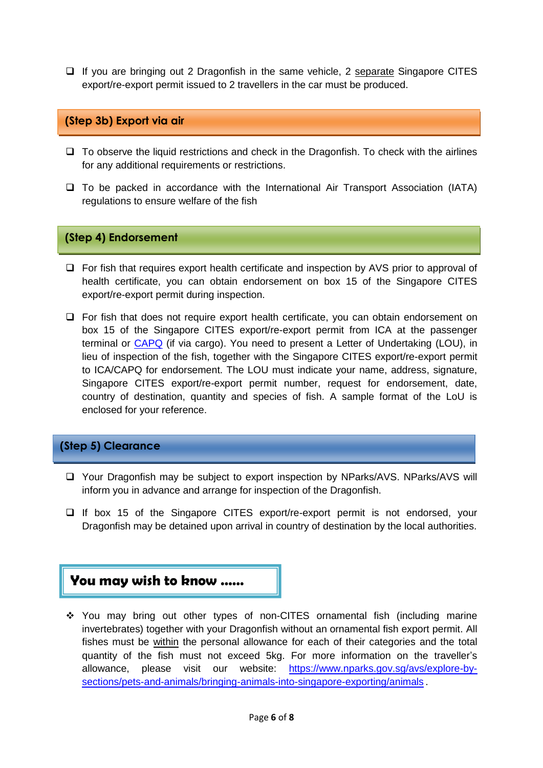$\Box$  If you are bringing out 2 Dragonfish in the same vehicle, 2 separate Singapore CITES export/re-export permit issued to 2 travellers in the car must be produced.

#### **(Step 3b) Export via air**

- $\Box$  To observe the liquid restrictions and check in the Dragonfish. To check with the airlines for any additional requirements or restrictions.
- $\square$  To be packed in accordance with the International Air Transport Association (IATA) regulations to ensure welfare of the fish

#### **(Step 4) Endorsement**

- $\Box$  For fish that requires export health certificate and inspection by AVS prior to approval of health certificate, you can obtain endorsement on box 15 of the Singapore CITES export/re-export permit during inspection.
- $\Box$  For fish that does not require export health certificate, you can obtain endorsement on box 15 of the Singapore CITES export/re-export permit from ICA at the passenger terminal or [CAPQ](mailto:https://www.nparks.gov.sg/avs/animals-and-pets/bringing-animals-into-singapore-and-exporting/animal-quarantine-and-avs-border-control-checkpoints/changi-animal-,-a-,-quarantine-station) (if via cargo). You need to present a Letter of Undertaking (LOU), in lieu of inspection of the fish, together with the Singapore CITES export/re-export permit to ICA/CAPQ for endorsement. The LOU must indicate your name, address, signature, Singapore CITES export/re-export permit number, request for endorsement, date, country of destination, quantity and species of fish. A sample format of the LoU is enclosed for your reference.

#### **(Step 5) Clearance**

- □ Your Dragonfish may be subject to export inspection by NParks/AVS. NParks/AVS will inform you in advance and arrange for inspection of the Dragonfish.
- $\Box$  If box 15 of the Singapore CITES export/re-export permit is not endorsed, your Dragonfish may be detained upon arrival in country of destination by the local authorities.

#### **You may wish to know ……**

 You may bring out other types of non-CITES ornamental fish (including marine invertebrates) together with your Dragonfish without an ornamental fish export permit. All fishes must be within the personal allowance for each of their categories and the total quantity of the fish must not exceed 5kg. For more information on the traveller's allowance, please visit our website: [https://www.nparks.gov.sg/avs/explore-by](https://www.nparks.gov.sg/avs/explore-by-sections/pets-and-animals/bringing-animals-into-singapore-exporting/animals)[sections/pets-and-animals/bringing-animals-into-singapore-exporting/animals](https://www.nparks.gov.sg/avs/explore-by-sections/pets-and-animals/bringing-animals-into-singapore-exporting/animals) .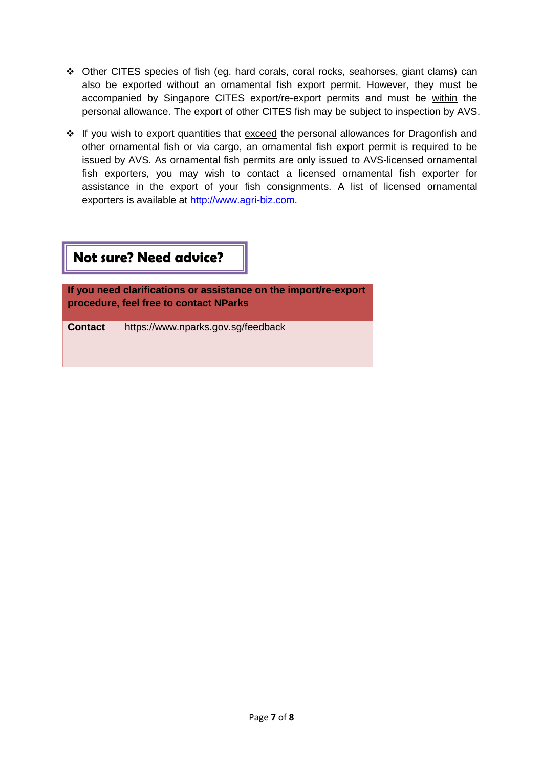- Other CITES species of fish (eg. hard corals, coral rocks, seahorses, giant clams) can also be exported without an ornamental fish export permit. However, they must be accompanied by Singapore CITES export/re-export permits and must be within the personal allowance. The export of other CITES fish may be subject to inspection by AVS.
- \* If you wish to export quantities that exceed the personal allowances for Dragonfish and other ornamental fish or via cargo, an ornamental fish export permit is required to be issued by AVS. As ornamental fish permits are only issued to AVS-licensed ornamental fish exporters, you may wish to contact a licensed ornamental fish exporter for assistance in the export of your fish consignments. A list of licensed ornamental exporters is available at [http://www.agri-biz.com.](http://www.agri-biz.com/)

## **Not sure? Need advice?**

**If you need clarifications or assistance on the import/re-export procedure, feel free to contact NParks** 

| <b>Contact</b> | https://www.nparks.gov.sg/feedback |
|----------------|------------------------------------|
|                |                                    |